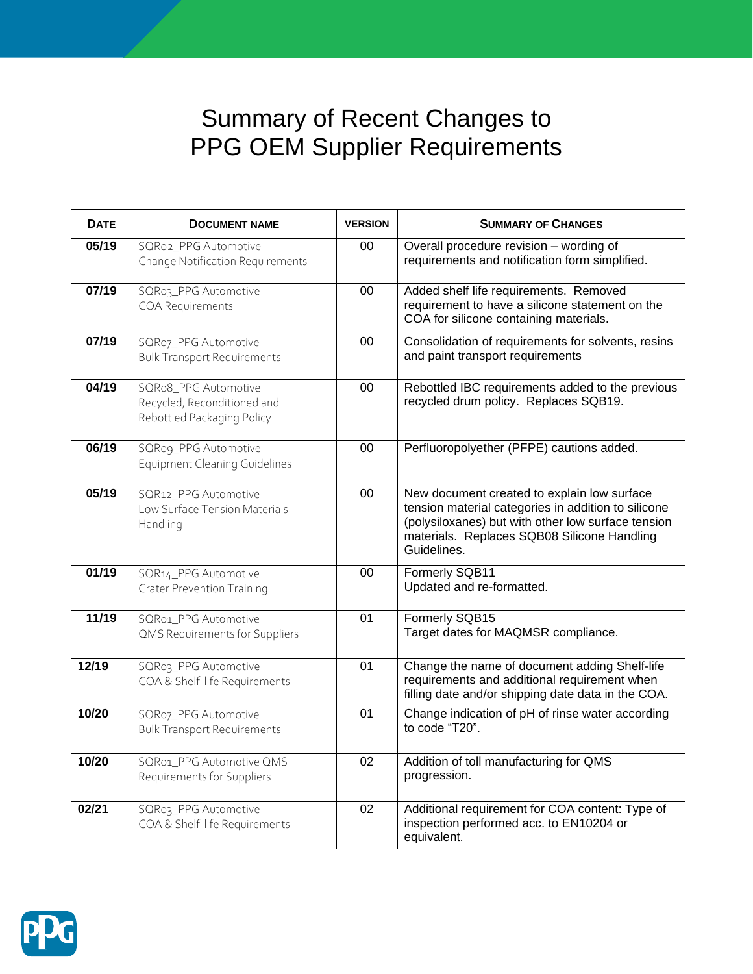## Summary of Recent Changes to PPG OEM Supplier Requirements

| <b>DATE</b> | <b>DOCUMENT NAME</b>                                                              | <b>VERSION</b> | <b>SUMMARY OF CHANGES</b>                                                                                                                                                                                              |
|-------------|-----------------------------------------------------------------------------------|----------------|------------------------------------------------------------------------------------------------------------------------------------------------------------------------------------------------------------------------|
| 05/19       | SQRo2_PPG Automotive<br>Change Notification Requirements                          | 00             | Overall procedure revision - wording of<br>requirements and notification form simplified.                                                                                                                              |
| 07/19       | SQRo3_PPG Automotive<br><b>COA Requirements</b>                                   | 00             | Added shelf life requirements. Removed<br>requirement to have a silicone statement on the<br>COA for silicone containing materials.                                                                                    |
| 07/19       | SQRo7_PPG Automotive<br><b>Bulk Transport Requirements</b>                        | 00             | Consolidation of requirements for solvents, resins<br>and paint transport requirements                                                                                                                                 |
| 04/19       | SQRo8_PPG Automotive<br>Recycled, Reconditioned and<br>Rebottled Packaging Policy | 00             | Rebottled IBC requirements added to the previous<br>recycled drum policy. Replaces SQB19.                                                                                                                              |
| 06/19       | SQRog_PPG Automotive<br><b>Equipment Cleaning Guidelines</b>                      | 00             | Perfluoropolyether (PFPE) cautions added.                                                                                                                                                                              |
| 05/19       | SQR12_PPG Automotive<br>Low Surface Tension Materials<br>Handling                 | 00             | New document created to explain low surface<br>tension material categories in addition to silicone<br>(polysiloxanes) but with other low surface tension<br>materials. Replaces SQB08 Silicone Handling<br>Guidelines. |
| 01/19       | SQR14_PPG Automotive<br><b>Crater Prevention Training</b>                         | 00             | Formerly SQB11<br>Updated and re-formatted.                                                                                                                                                                            |
| 11/19       | SQRo1_PPG Automotive<br><b>QMS Requirements for Suppliers</b>                     | 01             | Formerly SQB15<br>Target dates for MAQMSR compliance.                                                                                                                                                                  |
| 12/19       | SQRo3_PPG Automotive<br>COA & Shelf-life Requirements                             | 01             | Change the name of document adding Shelf-life<br>requirements and additional requirement when<br>filling date and/or shipping date data in the COA.                                                                    |
| 10/20       | SQRo7_PPG Automotive<br><b>Bulk Transport Requirements</b>                        | 01             | Change indication of pH of rinse water according<br>to code "T20".                                                                                                                                                     |
| 10/20       | SQRo1_PPG Automotive QMS<br>Requirements for Suppliers                            | 02             | Addition of toll manufacturing for QMS<br>progression.                                                                                                                                                                 |
| 02/21       | SQRo3_PPG Automotive<br>COA & Shelf-life Requirements                             | 02             | Additional requirement for COA content: Type of<br>inspection performed acc. to EN10204 or<br>equivalent.                                                                                                              |